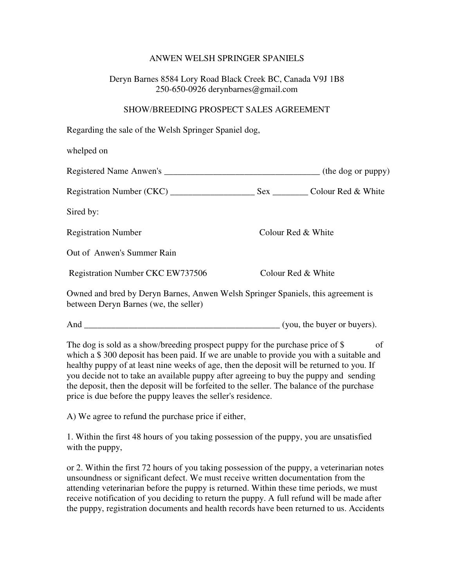## ANWEN WELSH SPRINGER SPANIELS

## Deryn Barnes 8584 Lory Road Black Creek BC, Canada V9J 1B8 250-650-0926 derynbarnes@gmail.com

## SHOW/BREEDING PROSPECT SALES AGREEMENT

| Regarding the sale of the Welsh Springer Spaniel dog,                                                                                                                      |                    |    |
|----------------------------------------------------------------------------------------------------------------------------------------------------------------------------|--------------------|----|
| whelped on                                                                                                                                                                 |                    |    |
|                                                                                                                                                                            |                    |    |
|                                                                                                                                                                            |                    |    |
| Sired by:                                                                                                                                                                  |                    |    |
| <b>Registration Number</b>                                                                                                                                                 | Colour Red & White |    |
| Out of Anwen's Summer Rain                                                                                                                                                 |                    |    |
| <b>Registration Number CKC EW737506</b>                                                                                                                                    | Colour Red & White |    |
| Owned and bred by Deryn Barnes, Anwen Welsh Springer Spaniels, this agreement is<br>between Deryn Barnes (we, the seller)                                                  |                    |    |
|                                                                                                                                                                            |                    |    |
| The dog is sold as a show/breeding prospect puppy for the purchase price of \$<br>which a \$300 deposit has been paid. If we are unable to provide you with a suitable and |                    | of |

 $\$$  300 deposit has been paid. If we are unable to provide you with a suitable and healthy puppy of at least nine weeks of age, then the deposit will be returned to you. If you decide not to take an available puppy after agreeing to buy the puppy and sending the deposit, then the deposit will be forfeited to the seller. The balance of the purchase price is due before the puppy leaves the seller's residence.

A) We agree to refund the purchase price if either,

1. Within the first 48 hours of you taking possession of the puppy, you are unsatisfied with the puppy,

or 2. Within the first 72 hours of you taking possession of the puppy, a veterinarian notes unsoundness or significant defect. We must receive written documentation from the attending veterinarian before the puppy is returned. Within these time periods, we must receive notification of you deciding to return the puppy. A full refund will be made after the puppy, registration documents and health records have been returned to us. Accidents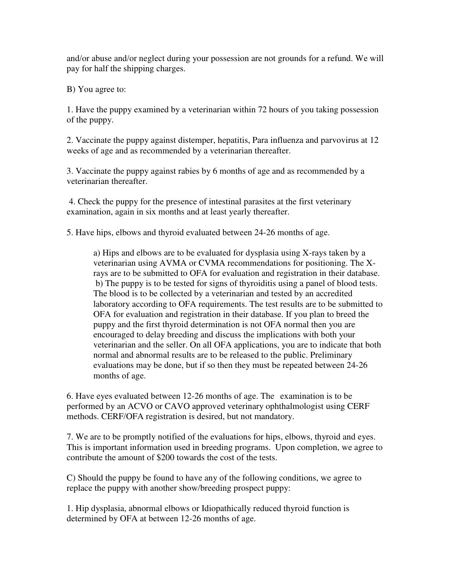and/or abuse and/or neglect during your possession are not grounds for a refund. We will pay for half the shipping charges.

B) You agree to:

1. Have the puppy examined by a veterinarian within 72 hours of you taking possession of the puppy.

2. Vaccinate the puppy against distemper, hepatitis, Para influenza and parvovirus at 12 weeks of age and as recommended by a veterinarian thereafter.

3. Vaccinate the puppy against rabies by 6 months of age and as recommended by a veterinarian thereafter.

 4. Check the puppy for the presence of intestinal parasites at the first veterinary examination, again in six months and at least yearly thereafter.

5. Have hips, elbows and thyroid evaluated between 24-26 months of age.

 a) Hips and elbows are to be evaluated for dysplasia using X-rays taken by a veterinarian using AVMA or CVMA recommendations for positioning. The X rays are to be submitted to OFA for evaluation and registration in their database. b) The puppy is to be tested for signs of thyroiditis using a panel of blood tests. The blood is to be collected by a veterinarian and tested by an accredited laboratory according to OFA requirements. The test results are to be submitted to OFA for evaluation and registration in their database. If you plan to breed the puppy and the first thyroid determination is not OFA normal then you are encouraged to delay breeding and discuss the implications with both your veterinarian and the seller. On all OFA applications, you are to indicate that both normal and abnormal results are to be released to the public. Preliminary evaluations may be done, but if so then they must be repeated between 24-26 months of age.

6. Have eyes evaluated between 12-26 months of age. The examination is to be performed by an ACVO or CAVO approved veterinary ophthalmologist using CERF methods. CERF/OFA registration is desired, but not mandatory.

7. We are to be promptly notified of the evaluations for hips, elbows, thyroid and eyes. This is important information used in breeding programs. Upon completion, we agree to contribute the amount of \$200 towards the cost of the tests.

C) Should the puppy be found to have any of the following conditions, we agree to replace the puppy with another show/breeding prospect puppy:

1. Hip dysplasia, abnormal elbows or Idiopathically reduced thyroid function is determined by OFA at between 12-26 months of age.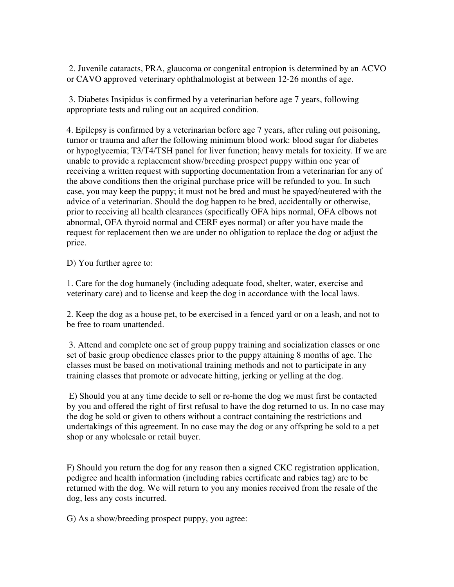2. Juvenile cataracts, PRA, glaucoma or congenital entropion is determined by an ACVO or CAVO approved veterinary ophthalmologist at between 12-26 months of age.

 3. Diabetes Insipidus is confirmed by a veterinarian before age 7 years, following appropriate tests and ruling out an acquired condition.

4. Epilepsy is confirmed by a veterinarian before age 7 years, after ruling out poisoning, tumor or trauma and after the following minimum blood work: blood sugar for diabetes or hypoglycemia; T3/T4/TSH panel for liver function; heavy metals for toxicity. If we are unable to provide a replacement show/breeding prospect puppy within one year of receiving a written request with supporting documentation from a veterinarian for any of the above conditions then the original purchase price will be refunded to you. In such case, you may keep the puppy; it must not be bred and must be spayed/neutered with the advice of a veterinarian. Should the dog happen to be bred, accidentally or otherwise, prior to receiving all health clearances (specifically OFA hips normal, OFA elbows not abnormal, OFA thyroid normal and CERF eyes normal) or after you have made the request for replacement then we are under no obligation to replace the dog or adjust the price.

D) You further agree to:

1. Care for the dog humanely (including adequate food, shelter, water, exercise and veterinary care) and to license and keep the dog in accordance with the local laws.

2. Keep the dog as a house pet, to be exercised in a fenced yard or on a leash, and not to be free to roam unattended.

 3. Attend and complete one set of group puppy training and socialization classes or one set of basic group obedience classes prior to the puppy attaining 8 months of age. The classes must be based on motivational training methods and not to participate in any training classes that promote or advocate hitting, jerking or yelling at the dog.

 E) Should you at any time decide to sell or re-home the dog we must first be contacted by you and offered the right of first refusal to have the dog returned to us. In no case may the dog be sold or given to others without a contract containing the restrictions and undertakings of this agreement. In no case may the dog or any offspring be sold to a pet shop or any wholesale or retail buyer.

F) Should you return the dog for any reason then a signed CKC registration application, pedigree and health information (including rabies certificate and rabies tag) are to be returned with the dog. We will return to you any monies received from the resale of the dog, less any costs incurred.

G) As a show/breeding prospect puppy, you agree: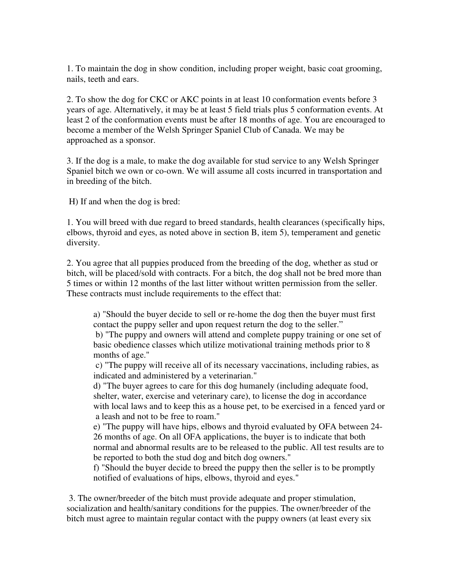1. To maintain the dog in show condition, including proper weight, basic coat grooming, nails, teeth and ears.

2. To show the dog for CKC or AKC points in at least 10 conformation events before 3 years of age. Alternatively, it may be at least 5 field trials plus 5 conformation events. At least 2 of the conformation events must be after 18 months of age. You are encouraged to become a member of the Welsh Springer Spaniel Club of Canada. We may be approached as a sponsor.

3. If the dog is a male, to make the dog available for stud service to any Welsh Springer Spaniel bitch we own or co-own. We will assume all costs incurred in transportation and in breeding of the bitch.

H) If and when the dog is bred:

1. You will breed with due regard to breed standards, health clearances (specifically hips, elbows, thyroid and eyes, as noted above in section B, item 5), temperament and genetic diversity.

2. You agree that all puppies produced from the breeding of the dog, whether as stud or bitch, will be placed/sold with contracts. For a bitch, the dog shall not be bred more than 5 times or within 12 months of the last litter without written permission from the seller. These contracts must include requirements to the effect that:

 a) "Should the buyer decide to sell or re-home the dog then the buyer must first contact the puppy seller and upon request return the dog to the seller."

 b) "The puppy and owners will attend and complete puppy training or one set of basic obedience classes which utilize motivational training methods prior to 8 months of age."

 c) "The puppy will receive all of its necessary vaccinations, including rabies, as indicated and administered by a veterinarian."

 d) "The buyer agrees to care for this dog humanely (including adequate food, shelter, water, exercise and veterinary care), to license the dog in accordance with local laws and to keep this as a house pet, to be exercised in a fenced yard or a leash and not to be free to roam."

 e) "The puppy will have hips, elbows and thyroid evaluated by OFA between 24- 26 months of age. On all OFA applications, the buyer is to indicate that both normal and abnormal results are to be released to the public. All test results are to be reported to both the stud dog and bitch dog owners."

 f) "Should the buyer decide to breed the puppy then the seller is to be promptly notified of evaluations of hips, elbows, thyroid and eyes."

 3. The owner/breeder of the bitch must provide adequate and proper stimulation, socialization and health/sanitary conditions for the puppies. The owner/breeder of the bitch must agree to maintain regular contact with the puppy owners (at least every six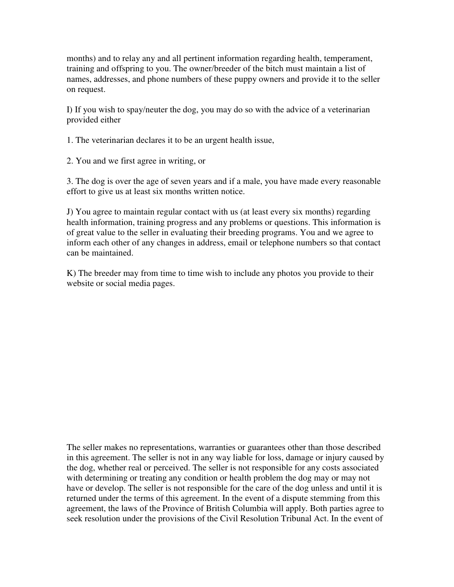months) and to relay any and all pertinent information regarding health, temperament, training and offspring to you. The owner/breeder of the bitch must maintain a list of names, addresses, and phone numbers of these puppy owners and provide it to the seller on request.

I) If you wish to spay/neuter the dog, you may do so with the advice of a veterinarian provided either

1. The veterinarian declares it to be an urgent health issue,

2. You and we first agree in writing, or

3. The dog is over the age of seven years and if a male, you have made every reasonable effort to give us at least six months written notice.

J) You agree to maintain regular contact with us (at least every six months) regarding health information, training progress and any problems or questions. This information is of great value to the seller in evaluating their breeding programs. You and we agree to inform each other of any changes in address, email or telephone numbers so that contact can be maintained.

K) The breeder may from time to time wish to include any photos you provide to their website or social media pages.

The seller makes no representations, warranties or guarantees other than those described in this agreement. The seller is not in any way liable for loss, damage or injury caused by the dog, whether real or perceived. The seller is not responsible for any costs associated with determining or treating any condition or health problem the dog may or may not have or develop. The seller is not responsible for the care of the dog unless and until it is returned under the terms of this agreement. In the event of a dispute stemming from this agreement, the laws of the Province of British Columbia will apply. Both parties agree to seek resolution under the provisions of the Civil Resolution Tribunal Act. In the event of